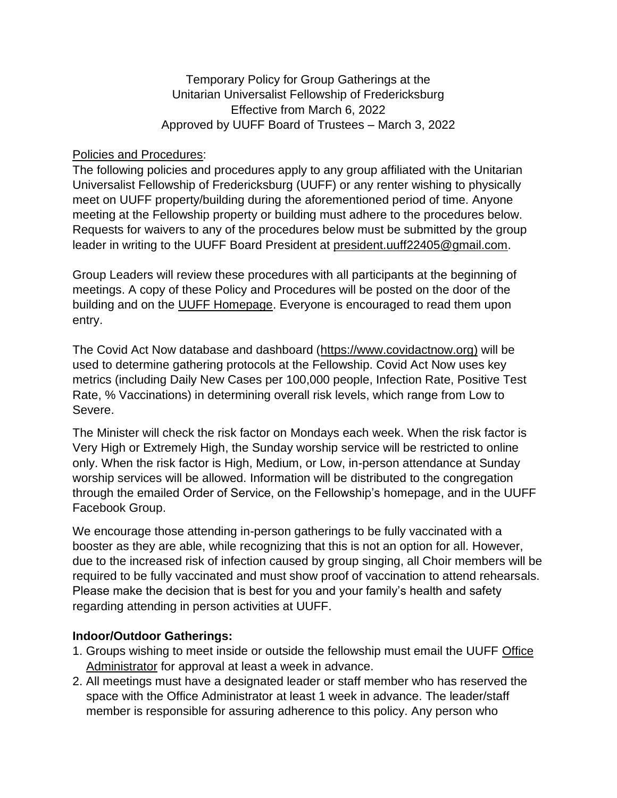Temporary Policy for Group Gatherings at the Unitarian Universalist Fellowship of Fredericksburg Effective from March 6, 2022 Approved by UUFF Board of Trustees – March 3, 2022

## Policies and Procedures:

The following policies and procedures apply to any group affiliated with the Unitarian Universalist Fellowship of Fredericksburg (UUFF) or any renter wishing to physically meet on UUFF property/building during the aforementioned period of time. Anyone meeting at the Fellowship property or building must adhere to the procedures below. Requests for waivers to any of the procedures below must be submitted by the group leader in writing to the UUFF Board President at [president.uuff22405@gmail.com.](mailto:president.uuff22405@gmail.com)

Group Leaders will review these procedures with all participants at the beginning of meetings. A copy of these Policy and Procedures will be posted on the door of the building and on the [UUFF Homepage.](http://www.uuffva.org/) Everyone is encouraged to read them upon entry.

The Covid Act Now database and dashboard [\(https://www.covidactnow.org\)](about:blank) will be used to determine gathering protocols at the Fellowship. Covid Act Now uses key metrics (including Daily New Cases per 100,000 people, Infection Rate, Positive Test Rate, % Vaccinations) in determining overall risk levels, which range from Low to Severe.

The Minister will check the risk factor on Mondays each week. When the risk factor is Very High or Extremely High, the Sunday worship service will be restricted to online only. When the risk factor is High, Medium, or Low, in-person attendance at Sunday worship services will be allowed. Information will be distributed to the congregation through the emailed Order of Service, on the Fellowship's homepage, and in the UUFF Facebook Group.

We encourage those attending in-person gatherings to be fully vaccinated with a booster as they are able, while recognizing that this is not an option for all. However, due to the increased risk of infection caused by group singing, all Choir members will be required to be fully vaccinated and must show proof of vaccination to attend rehearsals. Please make the decision that is best for you and your family's health and safety regarding attending in person activities at UUFF.

## **Indoor/Outdoor Gatherings:**

- 1. Groups wishing to meet inside or outside the fellowship must email the UUFF [Office](mailto:uuff@verizon.net)  [Administrator](mailto:uuff@verizon.net) for approval at least a week in advance.
- 2. All meetings must have a designated leader or staff member who has reserved the space with the Office Administrator at least 1 week in advance. The leader/staff member is responsible for assuring adherence to this policy. Any person who